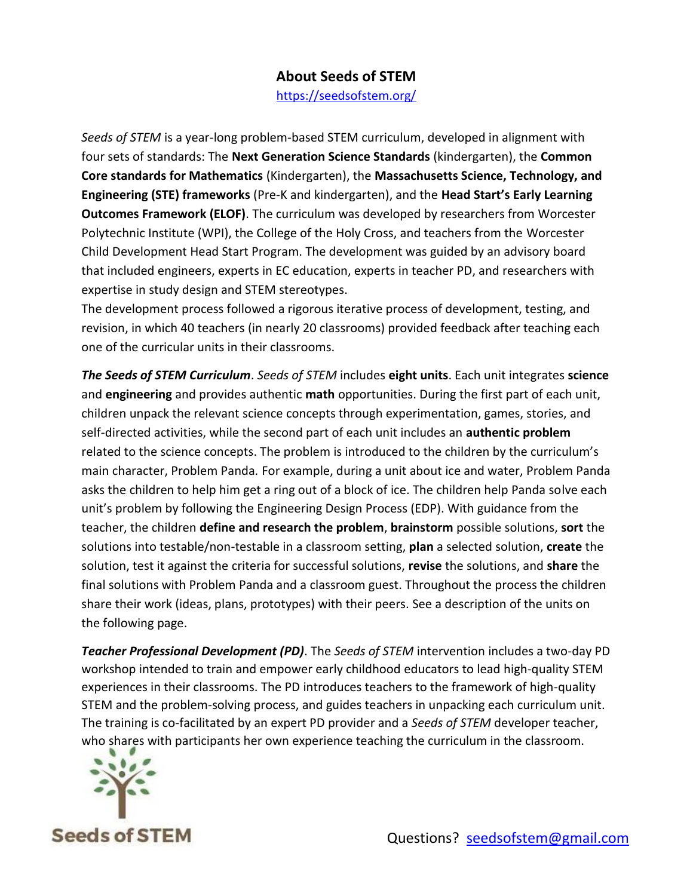## **About Seeds of STEM**

<https://seedsofstem.org/>

*Seeds of STEM* is a year-long problem-based STEM curriculum, developed in alignment with four sets of standards: The **Next Generation Science Standards** (kindergarten), the **Common Core standards for Mathematics** (Kindergarten), the **Massachusetts Science, Technology, and Engineering (STE) frameworks** (Pre-K and kindergarten), and the **Head Start's Early Learning Outcomes Framework (ELOF)**. The curriculum was developed by researchers from Worcester Polytechnic Institute (WPI), the College of the Holy Cross, and teachers from the Worcester Child Development Head Start Program. The development was guided by an advisory board that included engineers, experts in EC education, experts in teacher PD, and researchers with expertise in study design and STEM stereotypes.

The development process followed a rigorous iterative process of development, testing, and revision, in which 40 teachers (in nearly 20 classrooms) provided feedback after teaching each one of the curricular units in their classrooms.

*The Seeds of STEM Curriculum*. *Seeds of STEM* includes **eight units**. Each unit integrates **science** and **engineering** and provides authentic **math** opportunities. During the first part of each unit, children unpack the relevant science concepts through experimentation, games, stories, and self-directed activities, while the second part of each unit includes an **authentic problem** related to the science concepts. The problem is introduced to the children by the curriculum's main character, Problem Panda*.* For example, during a unit about ice and water, Problem Panda asks the children to help him get a ring out of a block of ice. The children help Panda solve each unit's problem by following the Engineering Design Process (EDP). With guidance from the teacher, the children **define and research the problem**, **brainstorm** possible solutions, **sort** the solutions into testable/non-testable in a classroom setting, **plan** a selected solution, **create** the solution, test it against the criteria for successful solutions, **revise** the solutions, and **share** the final solutions with Problem Panda and a classroom guest. Throughout the process the children share their work (ideas, plans, prototypes) with their peers. See a description of the units on the following page.

*Teacher Professional Development (PD)*. The *Seeds of STEM* intervention includes a two-day PD workshop intended to train and empower early childhood educators to lead high-quality STEM experiences in their classrooms. The PD introduces teachers to the framework of high-quality STEM and the problem-solving process, and guides teachers in unpacking each curriculum unit. The training is co-facilitated by an expert PD provider and a *Seeds of STEM* developer teacher, who shares with participants her own experience teaching the curriculum in the classroom.